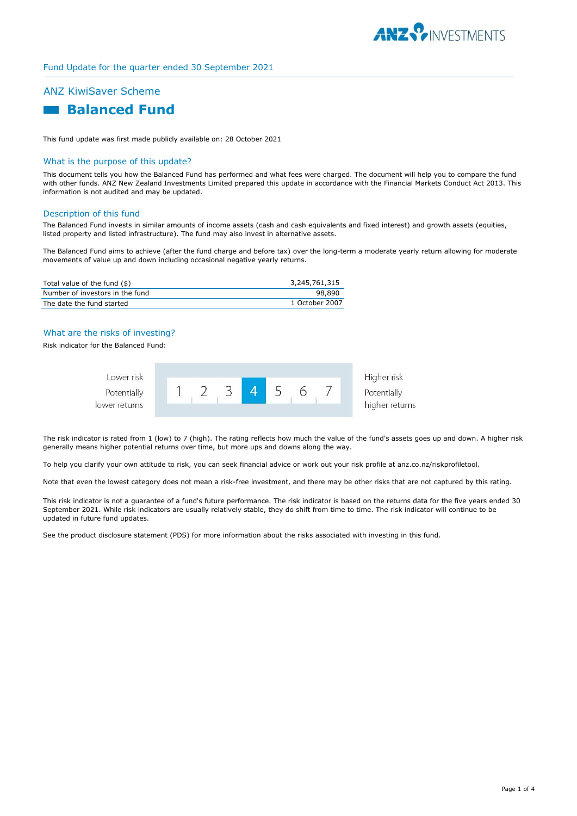

## Fund Update for the quarter ended 30 September 2021

# ANZ KiwiSaver Scheme

# **Balanced Fund**

This fund update was first made publicly available on: 28 October 2021

## What is the purpose of this update?

This document tells you how the Balanced Fund has performed and what fees were charged. The document will help you to compare the fund with other funds. ANZ New Zealand Investments Limited prepared this update in accordance with the Financial Markets Conduct Act 2013. This information is not audited and may be updated.

#### Description of this fund

The Balanced Fund invests in similar amounts of income assets (cash and cash equivalents and fixed interest) and growth assets (equities, listed property and listed infrastructure). The fund may also invest in alternative assets.

The Balanced Fund aims to achieve (after the fund charge and before tax) over the long-term a moderate yearly return allowing for moderate movements of value up and down including occasional negative yearly returns.

| Total value of the fund (\$)    | 3,245,761,315  |
|---------------------------------|----------------|
| Number of investors in the fund | 98.890         |
| The date the fund started       | 1 October 2007 |

## What are the risks of investing?

Risk indicator for the Balanced Fund:

| Lower risk                   |  |  |  | Higher risk                   |
|------------------------------|--|--|--|-------------------------------|
| Potentially<br>lower returns |  |  |  | Potentially<br>higher returns |
|                              |  |  |  |                               |

The risk indicator is rated from 1 (low) to 7 (high). The rating reflects how much the value of the fund's assets goes up and down. A higher risk generally means higher potential returns over time, but more ups and downs along the way.

To help you clarify your own attitude to risk, you can seek financial advice or work out your risk profile at anz.co.nz/riskprofiletool.

Note that even the lowest category does not mean a risk-free investment, and there may be other risks that are not captured by this rating.

This risk indicator is not a guarantee of a fund's future performance. The risk indicator is based on the returns data for the five years ended 30 September 2021. While risk indicators are usually relatively stable, they do shift from time to time. The risk indicator will continue to be updated in future fund updates.

See the product disclosure statement (PDS) for more information about the risks associated with investing in this fund.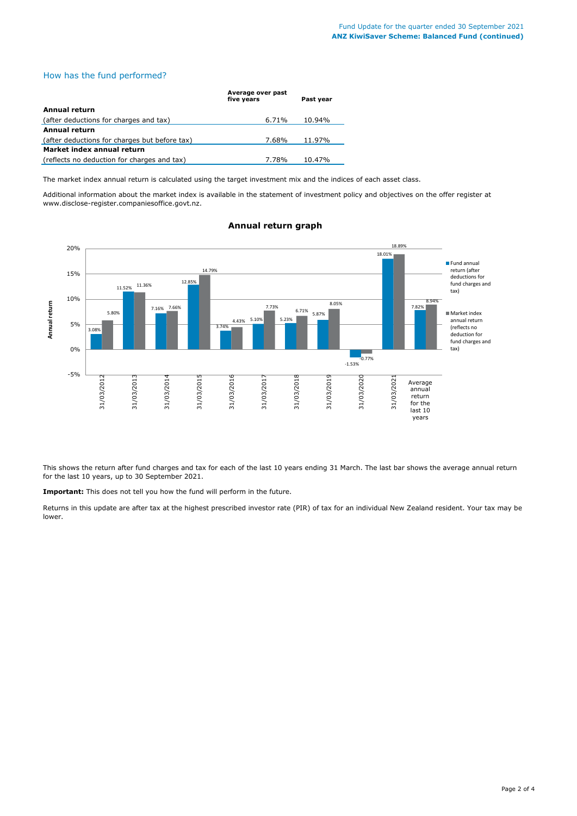# How has the fund performed?

|                                               | Average over past<br>five vears | Past vear |
|-----------------------------------------------|---------------------------------|-----------|
| Annual return                                 |                                 |           |
| (after deductions for charges and tax)        | 6.71%                           | 10.94%    |
| Annual return                                 |                                 |           |
| (after deductions for charges but before tax) | 7.68%                           | 11.97%    |
| Market index annual return                    |                                 |           |
| (reflects no deduction for charges and tax)   | 7.78%                           | 10.47%    |

The market index annual return is calculated using the target investment mix and the indices of each asset class.

Additional information about the market index is available in the statement of investment policy and objectives on the offer register at www.disclose-register.companiesoffice.govt.nz.



# **Annual return graph**

This shows the return after fund charges and tax for each of the last 10 years ending 31 March. The last bar shows the average annual return for the last 10 years, up to 30 September 2021.

**Important:** This does not tell you how the fund will perform in the future.

Returns in this update are after tax at the highest prescribed investor rate (PIR) of tax for an individual New Zealand resident. Your tax may be lower.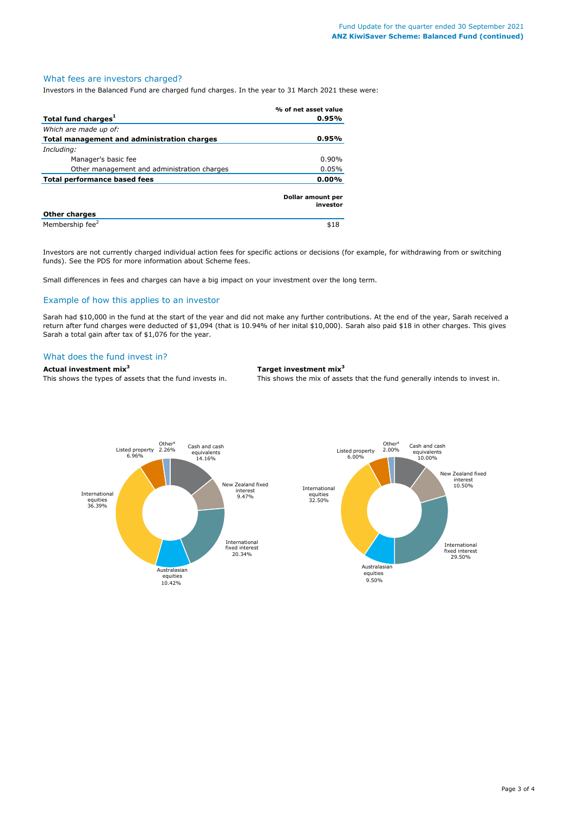#### What fees are investors charged?

Investors in the Balanced Fund are charged fund charges. In the year to 31 March 2021 these were:

|                                             | % of net asset value          |
|---------------------------------------------|-------------------------------|
| Total fund charges <sup>1</sup>             | 0.95%                         |
| Which are made up of:                       |                               |
| Total management and administration charges | 0.95%                         |
| Including:                                  |                               |
| Manager's basic fee                         | $0.90\%$                      |
| Other management and administration charges | 0.05%                         |
| <b>Total performance based fees</b>         | $0.00\%$                      |
|                                             | Dollar amount per<br>investor |
| <b>Other charges</b>                        |                               |
| Membership fee <sup>2</sup>                 | \$18                          |

Investors are not currently charged individual action fees for specific actions or decisions (for example, for withdrawing from or switching funds). See the PDS for more information about Scheme fees.

Small differences in fees and charges can have a big impact on your investment over the long term.

# Example of how this applies to an investor

Sarah had \$10,000 in the fund at the start of the year and did not make any further contributions. At the end of the year, Sarah received a return after fund charges were deducted of \$1,094 (that is 10.94% of her inital \$10,000). Sarah also paid \$18 in other charges. This gives Sarah a total gain after tax of \$1,076 for the year.

#### What does the fund invest in?

**Actual investment mix<sup>3</sup> Target investment mix<sup>3</sup>**

This shows the types of assets that the fund invests in. This shows the mix of assets that the fund generally intends to invest in.